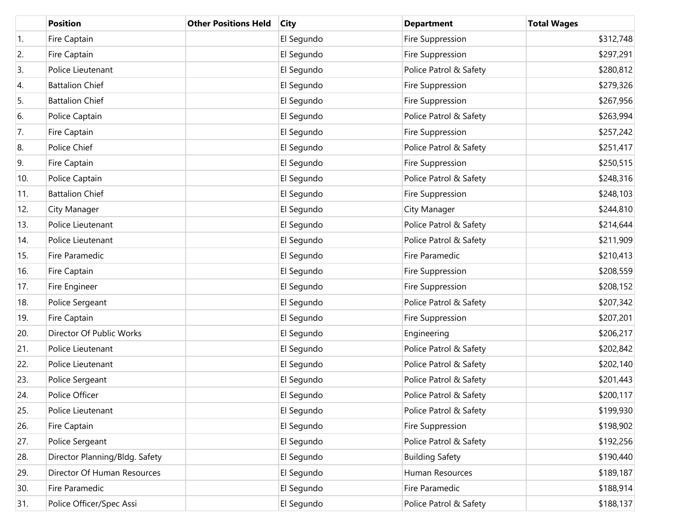|     | <b>Position</b>                | <b>Other Positions Held</b> | <b>City</b> | <b>Department</b>      | <b>Total Wages</b> |
|-----|--------------------------------|-----------------------------|-------------|------------------------|--------------------|
| 1.  | Fire Captain                   |                             | El Segundo  | Fire Suppression       | \$312,748          |
| 2.  | Fire Captain                   |                             | El Segundo  | Fire Suppression       | \$297,291          |
| 3.  | Police Lieutenant              |                             | El Segundo  | Police Patrol & Safety | \$280,812          |
| 4.  | <b>Battalion Chief</b>         |                             | El Segundo  | Fire Suppression       | \$279,326          |
| 5.  | <b>Battalion Chief</b>         |                             | El Segundo  | Fire Suppression       | \$267,956          |
| 6.  | Police Captain                 |                             | El Segundo  | Police Patrol & Safety | \$263,994          |
| 7.  | Fire Captain                   |                             | El Segundo  | Fire Suppression       | \$257,242          |
| 8.  | Police Chief                   |                             | El Segundo  | Police Patrol & Safety | \$251,417          |
| 9.  | Fire Captain                   |                             | El Segundo  | Fire Suppression       | \$250,515          |
| 10. | Police Captain                 |                             | El Segundo  | Police Patrol & Safety | \$248,316          |
| 11. | <b>Battalion Chief</b>         |                             | El Segundo  | Fire Suppression       | \$248,103          |
| 12. | City Manager                   |                             | El Segundo  | City Manager           | \$244,810          |
| 13. | Police Lieutenant              |                             | El Segundo  | Police Patrol & Safety | \$214,644          |
| 14. | Police Lieutenant              |                             | El Segundo  | Police Patrol & Safety | \$211,909          |
| 15. | Fire Paramedic                 |                             | El Segundo  | Fire Paramedic         | \$210,413          |
| 16. | Fire Captain                   |                             | El Segundo  | Fire Suppression       | \$208,559          |
| 17. | Fire Engineer                  |                             | El Segundo  | Fire Suppression       | \$208,152          |
| 18. | Police Sergeant                |                             | El Segundo  | Police Patrol & Safety | \$207,342          |
| 19. | Fire Captain                   |                             | El Segundo  | Fire Suppression       | \$207,201          |
| 20. | Director Of Public Works       |                             | El Segundo  | Engineering            | \$206,217          |
| 21. | Police Lieutenant              |                             | El Segundo  | Police Patrol & Safety | \$202,842          |
| 22. | Police Lieutenant              |                             | El Segundo  | Police Patrol & Safety | \$202,140          |
| 23. | Police Sergeant                |                             | El Segundo  | Police Patrol & Safety | \$201,443          |
| 24. | Police Officer                 |                             | El Segundo  | Police Patrol & Safety | \$200,117          |
| 25. | Police Lieutenant              |                             | El Segundo  | Police Patrol & Safety | \$199,930          |
| 26. | Fire Captain                   |                             | El Segundo  | Fire Suppression       | \$198,902          |
| 27. | Police Sergeant                |                             | El Segundo  | Police Patrol & Safety | \$192,256          |
| 28. | Director Planning/Bldg. Safety |                             | El Segundo  | <b>Building Safety</b> | \$190,440          |
| 29. | Director Of Human Resources    |                             | El Segundo  | Human Resources        | \$189,187          |
| 30. | Fire Paramedic                 |                             | El Segundo  | Fire Paramedic         | \$188,914          |
| 31. | Police Officer/Spec Assi       |                             | El Segundo  | Police Patrol & Safety | \$188,137          |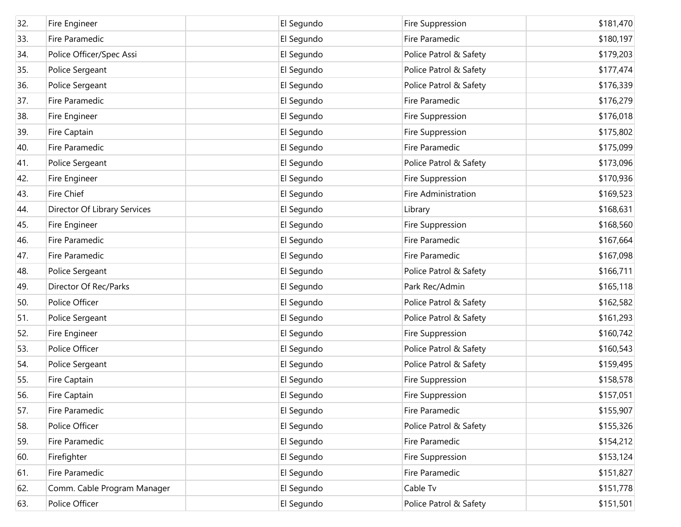| 32. | Fire Engineer                | El Segundo | Fire Suppression       | \$181,470 |
|-----|------------------------------|------------|------------------------|-----------|
| 33. | Fire Paramedic               | El Segundo | Fire Paramedic         | \$180,197 |
| 34. | Police Officer/Spec Assi     | El Segundo | Police Patrol & Safety | \$179,203 |
| 35. | Police Sergeant              | El Segundo | Police Patrol & Safety | \$177,474 |
| 36. | Police Sergeant              | El Segundo | Police Patrol & Safety | \$176,339 |
| 37. | Fire Paramedic               | El Segundo | Fire Paramedic         | \$176,279 |
| 38. | Fire Engineer                | El Segundo | Fire Suppression       | \$176,018 |
| 39. | Fire Captain                 | El Segundo | Fire Suppression       | \$175,802 |
| 40. | Fire Paramedic               | El Segundo | Fire Paramedic         | \$175,099 |
| 41. | Police Sergeant              | El Segundo | Police Patrol & Safety | \$173,096 |
| 42. | Fire Engineer                | El Segundo | Fire Suppression       | \$170,936 |
| 43. | <b>Fire Chief</b>            | El Segundo | Fire Administration    | \$169,523 |
| 44. | Director Of Library Services | El Segundo | Library                | \$168,631 |
| 45. | Fire Engineer                | El Segundo | Fire Suppression       | \$168,560 |
| 46. | Fire Paramedic               | El Segundo | Fire Paramedic         | \$167,664 |
| 47. | Fire Paramedic               | El Segundo | Fire Paramedic         | \$167,098 |
| 48. | Police Sergeant              | El Segundo | Police Patrol & Safety | \$166,711 |
| 49. | Director Of Rec/Parks        | El Segundo | Park Rec/Admin         | \$165,118 |
| 50. | Police Officer               | El Segundo | Police Patrol & Safety | \$162,582 |
| 51. | Police Sergeant              | El Segundo | Police Patrol & Safety | \$161,293 |
| 52. | Fire Engineer                | El Segundo | Fire Suppression       | \$160,742 |
| 53. | Police Officer               | El Segundo | Police Patrol & Safety | \$160,543 |
| 54. | Police Sergeant              | El Segundo | Police Patrol & Safety | \$159,495 |
| 55. | Fire Captain                 | El Segundo | Fire Suppression       | \$158,578 |
| 56. | Fire Captain                 | El Segundo | Fire Suppression       | \$157,051 |
| 57. | Fire Paramedic               | El Segundo | Fire Paramedic         | \$155,907 |
| 58. | Police Officer               | El Segundo | Police Patrol & Safety | \$155,326 |
| 59. | Fire Paramedic               | El Segundo | Fire Paramedic         | \$154,212 |
| 60. | Firefighter                  | El Segundo | Fire Suppression       | \$153,124 |
| 61. | Fire Paramedic               | El Segundo | Fire Paramedic         | \$151,827 |
| 62. | Comm. Cable Program Manager  | El Segundo | Cable Tv               | \$151,778 |
| 63. | Police Officer               | El Segundo | Police Patrol & Safety | \$151,501 |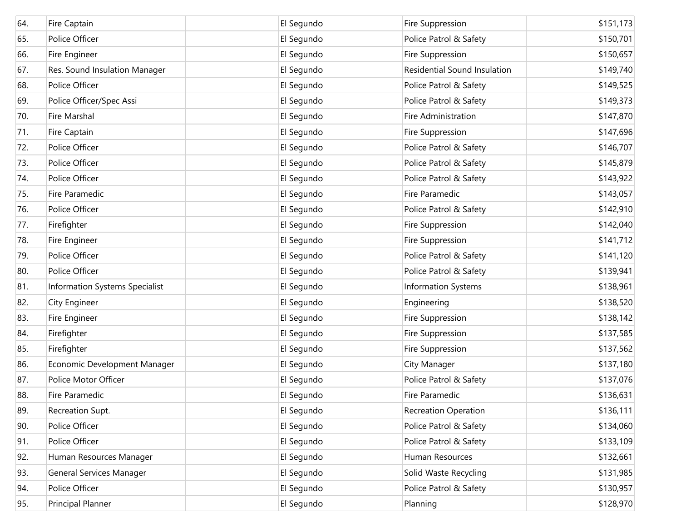| 64. | Fire Captain                    | El Segundo | Fire Suppression             | \$151,173 |
|-----|---------------------------------|------------|------------------------------|-----------|
| 65. | Police Officer                  | El Segundo | Police Patrol & Safety       | \$150,701 |
| 66. | Fire Engineer                   | El Segundo | Fire Suppression             | \$150,657 |
| 67. | Res. Sound Insulation Manager   | El Segundo | Residential Sound Insulation | \$149,740 |
| 68. | Police Officer                  | El Segundo | Police Patrol & Safety       | \$149,525 |
| 69. | Police Officer/Spec Assi        | El Segundo | Police Patrol & Safety       | \$149,373 |
| 70. | Fire Marshal                    | El Segundo | Fire Administration          | \$147,870 |
| 71. | Fire Captain                    | El Segundo | Fire Suppression             | \$147,696 |
| 72. | Police Officer                  | El Segundo | Police Patrol & Safety       | \$146,707 |
| 73. | Police Officer                  | El Segundo | Police Patrol & Safety       | \$145,879 |
| 74. | Police Officer                  | El Segundo | Police Patrol & Safety       | \$143,922 |
| 75. | Fire Paramedic                  | El Segundo | Fire Paramedic               | \$143,057 |
| 76. | Police Officer                  | El Segundo | Police Patrol & Safety       | \$142,910 |
| 77. | Firefighter                     | El Segundo | Fire Suppression             | \$142,040 |
| 78. | Fire Engineer                   | El Segundo | Fire Suppression             | \$141,712 |
| 79. | Police Officer                  | El Segundo | Police Patrol & Safety       | \$141,120 |
| 80. | Police Officer                  | El Segundo | Police Patrol & Safety       | \$139,941 |
| 81. | Information Systems Specialist  | El Segundo | <b>Information Systems</b>   | \$138,961 |
| 82. | <b>City Engineer</b>            | El Segundo | Engineering                  | \$138,520 |
| 83. | Fire Engineer                   | El Segundo | Fire Suppression             | \$138,142 |
| 84. | Firefighter                     | El Segundo | Fire Suppression             | \$137,585 |
| 85. | Firefighter                     | El Segundo | Fire Suppression             | \$137,562 |
| 86. | Economic Development Manager    | El Segundo | City Manager                 | \$137,180 |
| 87. | Police Motor Officer            | El Segundo | Police Patrol & Safety       | \$137,076 |
| 88. | Fire Paramedic                  | El Segundo | <b>Fire Paramedic</b>        | \$136,631 |
| 89. | Recreation Supt.                | El Segundo | <b>Recreation Operation</b>  | \$136,111 |
| 90. | Police Officer                  | El Segundo | Police Patrol & Safety       | \$134,060 |
| 91. | Police Officer                  | El Segundo | Police Patrol & Safety       | \$133,109 |
| 92. | Human Resources Manager         | El Segundo | Human Resources              | \$132,661 |
| 93. | <b>General Services Manager</b> | El Segundo | Solid Waste Recycling        | \$131,985 |
| 94. | Police Officer                  | El Segundo | Police Patrol & Safety       | \$130,957 |
| 95. | Principal Planner               | El Segundo | Planning                     | \$128,970 |